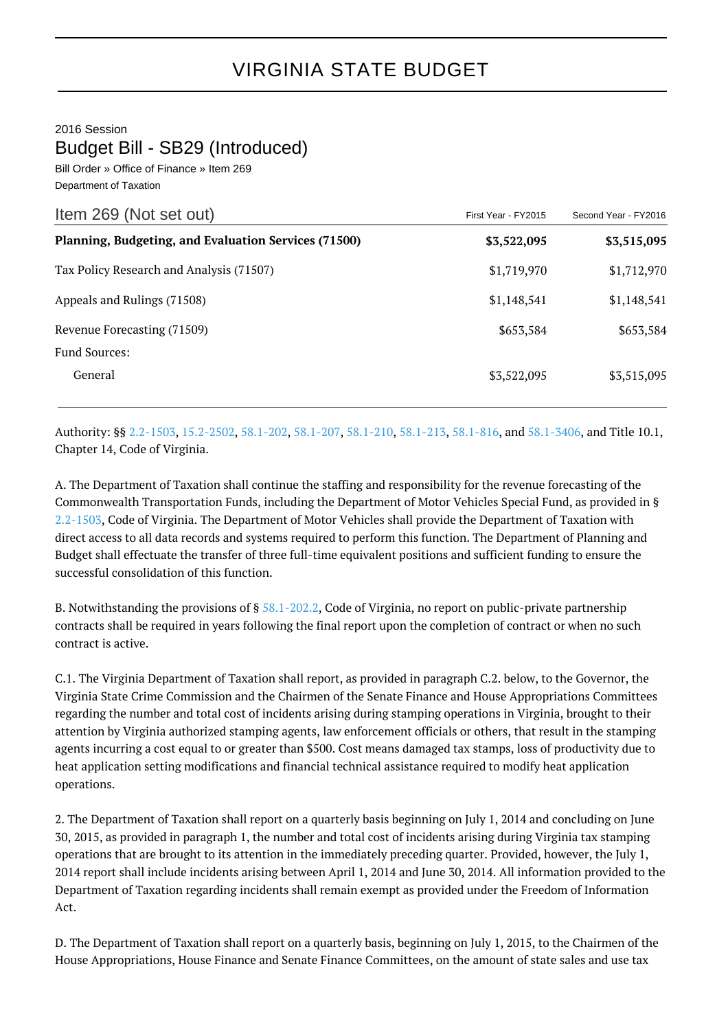2016 Session

Budget Bill - SB29 (Introduced)

Bill Order » Office of Finance » Item 269 Department of Taxation

| Item 269 (Not set out)                               | First Year - FY2015 | Second Year - FY2016 |
|------------------------------------------------------|---------------------|----------------------|
| Planning, Budgeting, and Evaluation Services (71500) | \$3,522,095         | \$3,515,095          |
| Tax Policy Research and Analysis (71507)             | \$1,719,970         | \$1,712,970          |
| Appeals and Rulings (71508)                          | \$1,148,541         | \$1,148,541          |
| Revenue Forecasting (71509)                          | \$653,584           | \$653,584            |
| <b>Fund Sources:</b>                                 |                     |                      |
| General                                              | \$3,522,095         | \$3,515,095          |

Authority: §§ [2.2-1503](http://law.lis.virginia.gov/vacode/2.2-1503/), [15.2-2502,](http://law.lis.virginia.gov/vacode/15.2-2502/) [58.1-202,](http://law.lis.virginia.gov/vacode/58.1-202/) [58.1-207](http://law.lis.virginia.gov/vacode/58.1-207/), [58.1-210](http://law.lis.virginia.gov/vacode/58.1-210/), [58.1-213,](http://law.lis.virginia.gov/vacode/58.1-213/) [58.1-816,](http://law.lis.virginia.gov/vacode/58.1-816/) and [58.1-3406,](http://law.lis.virginia.gov/vacode/58.1-3406/) and Title 10.1, Chapter 14, Code of Virginia.

A. The Department of Taxation shall continue the staffing and responsibility for the revenue forecasting of the Commonwealth Transportation Funds, including the Department of Motor Vehicles Special Fund, as provided in § [2.2-1503](http://law.lis.virginia.gov/vacode/2.2-1503/), Code of Virginia. The Department of Motor Vehicles shall provide the Department of Taxation with direct access to all data records and systems required to perform this function. The Department of Planning and Budget shall effectuate the transfer of three full-time equivalent positions and sufficient funding to ensure the successful consolidation of this function.

B. Notwithstanding the provisions of § [58.1-202.2](http://law.lis.virginia.gov/vacode/58.1-202.2/), Code of Virginia, no report on public-private partnership contracts shall be required in years following the final report upon the completion of contract or when no such contract is active.

C.1. The Virginia Department of Taxation shall report, as provided in paragraph C.2. below, to the Governor, the Virginia State Crime Commission and the Chairmen of the Senate Finance and House Appropriations Committees regarding the number and total cost of incidents arising during stamping operations in Virginia, brought to their attention by Virginia authorized stamping agents, law enforcement officials or others, that result in the stamping agents incurring a cost equal to or greater than \$500. Cost means damaged tax stamps, loss of productivity due to heat application setting modifications and financial technical assistance required to modify heat application operations.

2. The Department of Taxation shall report on a quarterly basis beginning on July 1, 2014 and concluding on June 30, 2015, as provided in paragraph 1, the number and total cost of incidents arising during Virginia tax stamping operations that are brought to its attention in the immediately preceding quarter. Provided, however, the July 1, 2014 report shall include incidents arising between April 1, 2014 and June 30, 2014. All information provided to the Department of Taxation regarding incidents shall remain exempt as provided under the Freedom of Information Act.

D. The Department of Taxation shall report on a quarterly basis, beginning on July 1, 2015, to the Chairmen of the House Appropriations, House Finance and Senate Finance Committees, on the amount of state sales and use tax